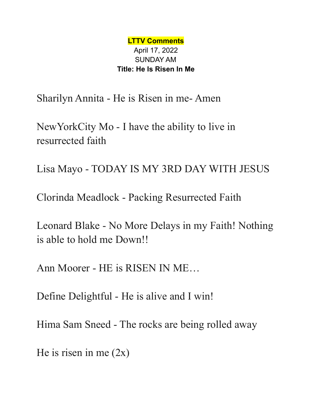**LTTV Comments** April 17, 2022 SUNDAY AM **Title: He Is Risen In Me**

Sharilyn Annita - He is Risen in me- Amen

NewYorkCity Mo - I have the ability to live in resurrected faith

Lisa Mayo - TODAY IS MY 3RD DAY WITH JESUS

Clorinda Meadlock - Packing Resurrected Faith

Leonard Blake - No More Delays in my Faith! Nothing is able to hold me Down!!

Ann Moorer - HE is RISEN IN ME…

Define Delightful - He is alive and I win!

Hima Sam Sneed - The rocks are being rolled away

He is risen in me  $(2x)$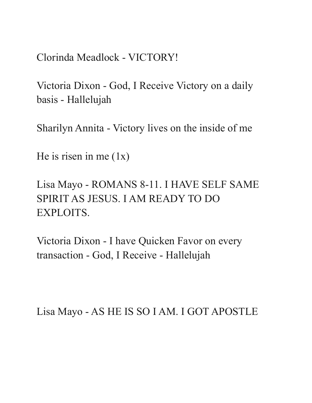Clorinda Meadlock - VICTORY!

Victoria Dixon - God, I Receive Victory on a daily basis - Hallelujah

Sharilyn Annita - Victory lives on the inside of me

He is risen in me  $(1x)$ 

Lisa Mayo - ROMANS 8-11. I HAVE SELF SAME SPIRIT AS JESUS. I AM READY TO DO EXPLOITS.

Victoria Dixon - I have Quicken Favor on every transaction - God, I Receive - Hallelujah

Lisa Mayo - AS HE IS SO I AM. I GOT APOSTLE